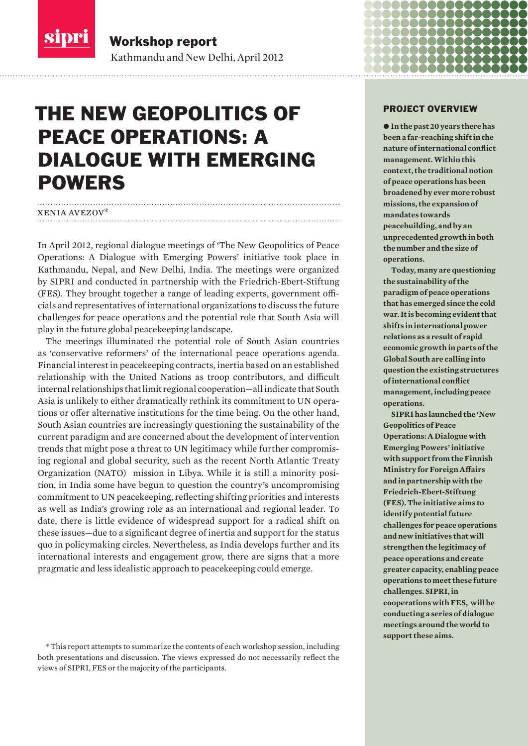SIDP

Kathmandu and New Delhi, April 2012 Workshop report

# The new geopolitics of peace operations: a dialogue with emerging **POWERS**

### xenia avezov\*

In April 2012, regional dialogue meetings of 'The New Geopolitics of Peace Operations: A Dialogue with Emerging Powers' initiative took place in Kathmandu, Nepal, and New Delhi, India. The meetings were organized by SIPRI and conducted in partnership with the Friedrich-Ebert-Stiftung (FES). They brought together a range of leading experts, government officials and representatives of international organizations to discuss the future challenges for peace operations and the potential role that South Asia will play in the future global peacekeeping landscape.

The meetings illuminated the potential role of South Asian countries as 'conservative reformers' of the international peace operations agenda. Financial interest in peacekeeping contracts, inertia based on an established relationship with the United Nations as troop contributors, and difficult internal relationships that limit regional cooperation—all indicate that South Asia is unlikely to either dramatically rethink its commitment to UN operations or offer alternative institutions for the time being. On the other hand, South Asian countries are increasingly questioning the sustainability of the current paradigm and are concerned about the development of intervention trends that might pose a threat to UN legitimacy while further compromising regional and global security, such as the recent North Atlantic Treaty Organization (NATO) mission in Libya. While it is still a minority position, in India some have begun to question the country's uncompromising commitment to UN peacekeeping, reflecting shifting priorities and interests as well as India's growing role as an international and regional leader. To date, there is little evidence of widespread support for a radical shift on these issues—due to a significant degree of inertia and support for the status quo in policymaking circles. Nevertheless, as India develops further and its international interests and engagement grow, there are signs that a more pragmatic and less idealistic approach to peacekeeping could emerge.

\* This report attempts to summarize the contents of each workshop session, including both presentations and discussion. The views expressed do not necessarily reflect the views of SIPRI, FES or the majority of the participants.

#### Project overview

 $\bullet$  In the past 20 years there has **been a far-reaching shift in the nature of international conflict management. Within this context, the traditional notion of peace operations has been broadened by ever more robust missions, the expansion of mandates towards peacebuilding, and by an unprecedented growth in both the number and the size of operations.** 

**Today, many are questioning the sustainability of the paradigm of peace operations that has emerged since the cold war. It is becoming evident that shifts in international power relations as a result of rapid economic growth in parts of the Global South are calling into question the existing structures of international conflict management, including peace operations.** 

**SIPRI has launched the 'New Geopolitics of Peace Operations: A Dialogue with Emerging Powers' initiative with support from the Finnish Ministry for Foreign Affairs and in partnership with the Friedrich-Ebert-Stiftung (FES). The initiative aims to identify potential future challenges for peace operations and new initiatives that will strengthen the legitimacy of peace operations and create greater capacity, enabling peace operations to meet these future challenges. SIPRI, in cooperations with FES, will be conducting a series of dialogue meetings around the world to support these aims.**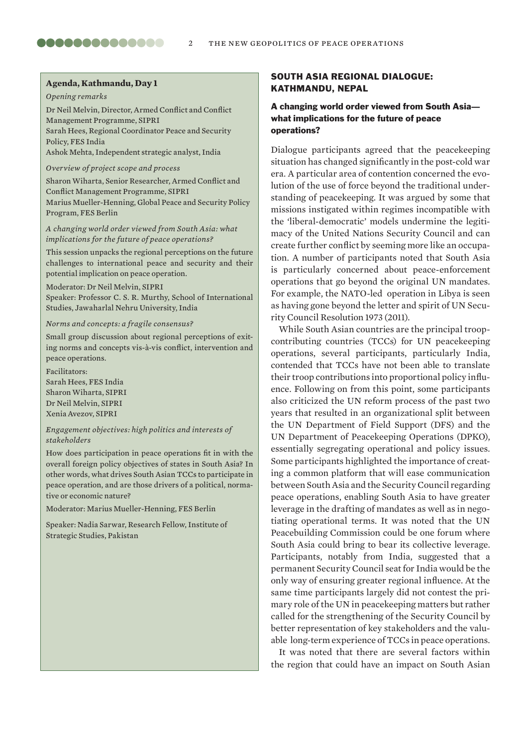#### **Agenda, Kathmandu, Day 1**

*Opening remarks*

Dr Neil Melvin, Director, Armed Conflict and Conflict Management Programme, SIPRI Sarah Hees, Regional Coordinator Peace and Security Policy, FES India Ashok Mehta, Independent strategic analyst, India

*Overview of project scope and process*

Sharon Wiharta, Senior Researcher, Armed Conflict and Conflict Management Programme, SIPRI Marius Mueller-Henning, Global Peace and Security Policy Program, FES Berlin

*A changing world order viewed from South Asia: what implications for the future of peace operations?*

This session unpacks the regional perceptions on the future challenges to international peace and security and their potential implication on peace operation.

#### Moderator: Dr Neil Melvin, SIPRI

Speaker: Professor C. S. R. Murthy, School of International Studies, Jawaharlal Nehru University, India

#### *Norms and concepts: a fragile consensus?*

Small group discussion about regional perceptions of exiting norms and concepts vis-à-vis conflict, intervention and peace operations.

Facilitators: Sarah Hees, FES India Sharon Wiharta, SIPRI Dr Neil Melvin, SIPRI Xenia Avezov, SIPRI

*Engagement objectives: high politics and interests of stakeholders*

How does participation in peace operations fit in with the overall foreign policy objectives of states in South Asia? In other words, what drives South Asian TCCs to participate in peace operation, and are those drivers of a political, normative or economic nature?

Moderator: Marius Mueller-Henning, FES Berlin

Speaker: Nadia Sarwar, Research Fellow, Institute of Strategic Studies, Pakistan

#### South Asia regional dialogue: Kathmandu, Nepal

#### A changing world order viewed from South Asia what implications for the future of peace operations?

Dialogue participants agreed that the peacekeeping situation has changed significantly in the post-cold war era. A particular area of contention concerned the evolution of the use of force beyond the traditional understanding of peacekeeping. It was argued by some that missions instigated within regimes incompatible with the 'liberal-democratic' models undermine the legitimacy of the United Nations Security Council and can create further conflict by seeming more like an occupation. A number of participants noted that South Asia is particularly concerned about peace-enforcement operations that go beyond the original UN mandates. For example, the NATO-led operation in Libya is seen as having gone beyond the letter and spirit of UN Security Council Resolution 1973 (2011).

While South Asian countries are the principal troopcontributing countries (TCCs) for UN peacekeeping operations, several participants, particularly India, contended that TCCs have not been able to translate their troop contributions into proportional policy influence. Following on from this point, some participants also criticized the UN reform process of the past two years that resulted in an organizational split between the UN Department of Field Support (DFS) and the UN Department of Peacekeeping Operations (DPKO), essentially segregating operational and policy issues. Some participants highlighted the importance of creating a common platform that will ease communication between South Asia and the Security Council regarding peace operations, enabling South Asia to have greater leverage in the drafting of mandates as well as in negotiating operational terms. It was noted that the UN Peacebuilding Commission could be one forum where South Asia could bring to bear its collective leverage. Participants, notably from India, suggested that a permanent Security Council seat for India would be the only way of ensuring greater regional influence. At the same time participants largely did not contest the primary role of the UN in peacekeeping matters but rather called for the strengthening of the Security Council by better representation of key stakeholders and the valuable long-term experience of TCCs in peace operations.

It was noted that there are several factors within the region that could have an impact on South Asian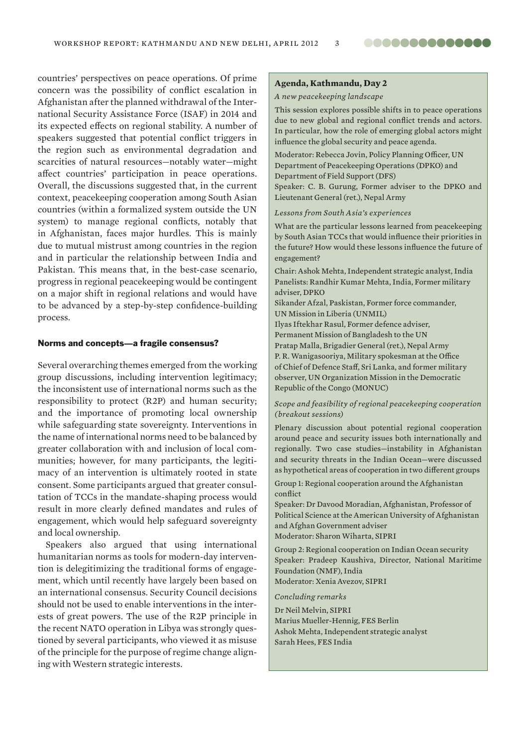countries' perspectives on peace operations. Of prime concern was the possibility of conflict escalation in Afghanistan after the planned withdrawal of the International Security Assistance Force (ISAF) in 2014 and its expected effects on regional stability. A number of speakers suggested that potential conflict triggers in the region such as environmental degradation and scarcities of natural resources—notably water—might affect countries' participation in peace operations. Overall, the discussions suggested that, in the current context, peacekeeping cooperation among South Asian countries (within a formalized system outside the UN system) to manage regional conflicts, notably that in Afghanistan, faces major hurdles. This is mainly due to mutual mistrust among countries in the region and in particular the relationship between India and Pakistan. This means that, in the best-case scenario, progress in regional peacekeeping would be contingent on a major shift in regional relations and would have to be advanced by a step-by-step confidence-building process.

#### Norms and concepts—a fragile consensus?

Several overarching themes emerged from the working group discussions, including intervention legitimacy; the inconsistent use of international norms such as the responsibility to protect (R2P) and human security; and the importance of promoting local ownership while safeguarding state sovereignty. Interventions in the name of international norms need to be balanced by greater collaboration with and inclusion of local communities; however, for many participants, the legitimacy of an intervention is ultimately rooted in state consent. Some participants argued that greater consultation of TCCs in the mandate-shaping process would result in more clearly defined mandates and rules of engagement, which would help safeguard sovereignty and local ownership.

Speakers also argued that using international humanitarian norms as tools for modern-day intervention is delegitimizing the traditional forms of engagement, which until recently have largely been based on an international consensus. Security Council decisions should not be used to enable interventions in the interests of great powers. The use of the R2P principle in the recent NATO operation in Libya was strongly questioned by several participants, who viewed it as misuse of the principle for the purpose of regime change aligning with Western strategic interests.

#### **Agenda, Kathmandu, Day 2**

#### *A new peacekeeping landscape*

This session explores possible shifts in to peace operations due to new global and regional conflict trends and actors. In particular, how the role of emerging global actors might influence the global security and peace agenda.

Moderator: Rebecca Jovin, Policy Planning Officer, UN Department of Peacekeeping Operations (DPKO) and Department of Field Support (DFS)

Speaker: C. B. Gurung, Former adviser to the DPKO and Lieutenant General (ret.), Nepal Army

#### *Lessons from South Asia's experiences*

What are the particular lessons learned from peacekeeping by South Asian TCCs that would influence their priorities in the future? How would these lessons influence the future of engagement?

Chair: Ashok Mehta, Independent strategic analyst, India Panelists: Randhir Kumar Mehta, India, Former military adviser, DPKO

Sikander Afzal, Paskistan, Former force commander, UN Mission in Liberia (UNMIL)

Ilyas Iftekhar Rasul, Former defence adviser, Permanent Mission of Bangladesh to the UN Pratap Malla, Brigadier General (ret.), Nepal Army P. R. Wanigasooriya, Military spokesman at the Office of Chief of Defence Staff, Sri Lanka, and former military observer, UN Organization Mission in the Democratic Republic of the Congo (MONUC)

#### *Scope and feasibility of regional peacekeeping cooperation (breakout sessions)*

Plenary discussion about potential regional cooperation around peace and security issues both internationally and regionally. Two case studies—instability in Afghanistan and security threats in the Indian Ocean—were discussed as hypothetical areas of cooperation in two different groups

Group 1: Regional cooperation around the Afghanistan conflict

Speaker: Dr Davood Moradian, Afghanistan, Professor of Political Science at the American University of Afghanistan and Afghan Government adviser

Moderator: Sharon Wiharta, SIPRI

Group 2: Regional cooperation on Indian Ocean security Speaker: Pradeep Kaushiva, Director, National Maritime Foundation (NMF), India Moderator: Xenia Avezov, SIPRI

*Concluding remarks*

Dr Neil Melvin, SIPRI Marius Mueller-Hennig, FES Berlin Ashok Mehta, Independent strategic analyst Sarah Hees, FES India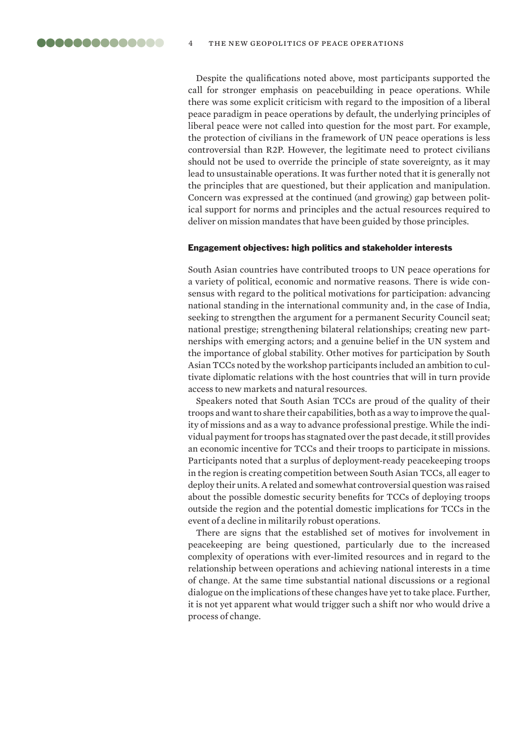Despite the qualifications noted above, most participants supported the call for stronger emphasis on peacebuilding in peace operations. While there was some explicit criticism with regard to the imposition of a liberal peace paradigm in peace operations by default, the underlying principles of liberal peace were not called into question for the most part. For example, the protection of civilians in the framework of UN peace operations is less controversial than R2P. However, the legitimate need to protect civilians should not be used to override the principle of state sovereignty, as it may lead to unsustainable operations. It was further noted that it is generally not the principles that are questioned, but their application and manipulation. Concern was expressed at the continued (and growing) gap between political support for norms and principles and the actual resources required to deliver on mission mandates that have been guided by those principles.

#### Engagement objectives: high politics and stakeholder interests

South Asian countries have contributed troops to UN peace operations for a variety of political, economic and normative reasons. There is wide consensus with regard to the political motivations for participation: advancing national standing in the international community and, in the case of India, seeking to strengthen the argument for a permanent Security Council seat; national prestige; strengthening bilateral relationships; creating new partnerships with emerging actors; and a genuine belief in the UN system and the importance of global stability. Other motives for participation by South Asian TCCs noted by the workshop participants included an ambition to cultivate diplomatic relations with the host countries that will in turn provide access to new markets and natural resources.

Speakers noted that South Asian TCCs are proud of the quality of their troops and want to share their capabilities, both as a way to improve the quality of missions and as a way to advance professional prestige. While the individual payment for troops has stagnated over the past decade, it still provides an economic incentive for TCCs and their troops to participate in missions. Participants noted that a surplus of deployment-ready peacekeeping troops in the region is creating competition between South Asian TCCs, all eager to deploy their units. A related and somewhat controversial question was raised about the possible domestic security benefits for TCCs of deploying troops outside the region and the potential domestic implications for TCCs in the event of a decline in militarily robust operations.

There are signs that the established set of motives for involvement in peacekeeping are being questioned, particularly due to the increased complexity of operations with ever-limited resources and in regard to the relationship between operations and achieving national interests in a time of change. At the same time substantial national discussions or a regional dialogue on the implications of these changes have yet to take place. Further, it is not yet apparent what would trigger such a shift nor who would drive a process of change.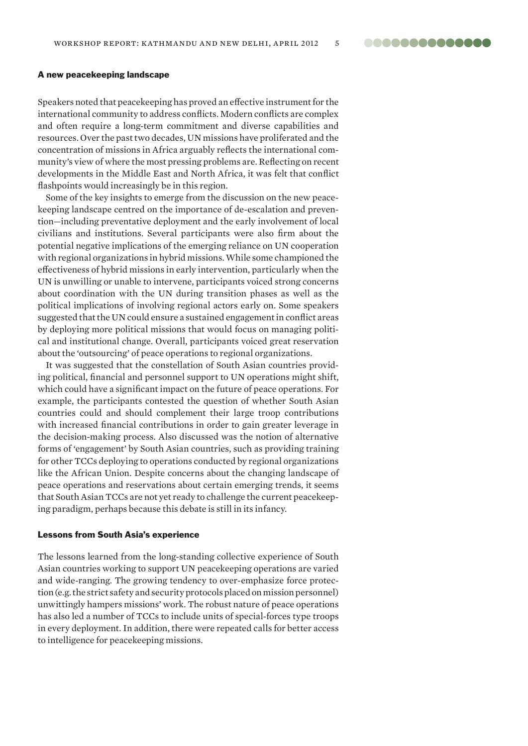#### A new peacekeeping landscape

Speakers noted that peacekeeping has proved an effective instrument for the international community to address conflicts. Modern conflicts are complex and often require a long-term commitment and diverse capabilities and resources. Over the past two decades, UN missions have proliferated and the concentration of missions in Africa arguably reflects the international community's view of where the most pressing problems are. Reflecting on recent developments in the Middle East and North Africa, it was felt that conflict flashpoints would increasingly be in this region.

Some of the key insights to emerge from the discussion on the new peacekeeping landscape centred on the importance of de-escalation and prevention—including preventative deployment and the early involvement of local civilians and institutions. Several participants were also firm about the potential negative implications of the emerging reliance on UN cooperation with regional organizations in hybrid missions. While some championed the effectiveness of hybrid missions in early intervention, particularly when the UN is unwilling or unable to intervene, participants voiced strong concerns about coordination with the UN during transition phases as well as the political implications of involving regional actors early on. Some speakers suggested that the UN could ensure a sustained engagement in conflict areas by deploying more political missions that would focus on managing political and institutional change. Overall, participants voiced great reservation about the 'outsourcing' of peace operations to regional organizations.

It was suggested that the constellation of South Asian countries providing political, financial and personnel support to UN operations might shift, which could have a significant impact on the future of peace operations. For example, the participants contested the question of whether South Asian countries could and should complement their large troop contributions with increased financial contributions in order to gain greater leverage in the decision-making process. Also discussed was the notion of alternative forms of 'engagement' by South Asian countries, such as providing training for other TCCs deploying to operations conducted by regional organizations like the African Union. Despite concerns about the changing landscape of peace operations and reservations about certain emerging trends, it seems that South Asian TCCs are not yet ready to challenge the current peacekeeping paradigm, perhaps because this debate is still in its infancy.

#### Lessons from South Asia's experience

The lessons learned from the long-standing collective experience of South Asian countries working to support UN peacekeeping operations are varied and wide-ranging. The growing tendency to over-emphasize force protection (e.g. the strict safety and security protocols placed on mission personnel) unwittingly hampers missions' work. The robust nature of peace operations has also led a number of TCCs to include units of special-forces type troops in every deployment. In addition, there were repeated calls for better access to intelligence for peacekeeping missions.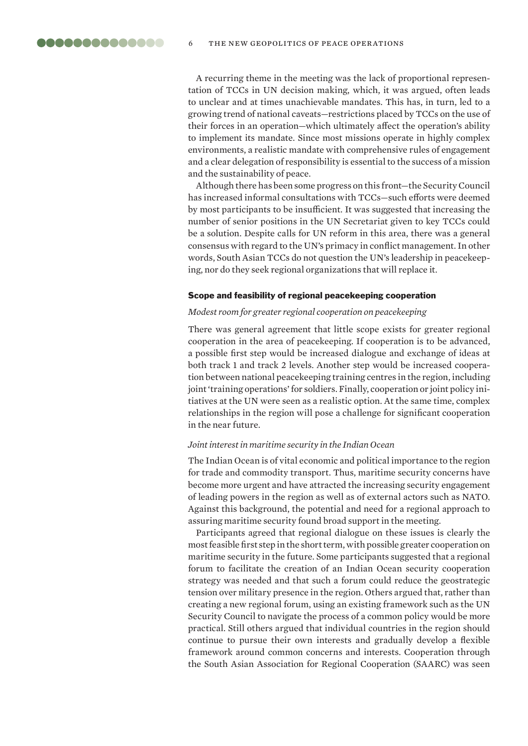A recurring theme in the meeting was the lack of proportional representation of TCCs in UN decision making, which, it was argued, often leads to unclear and at times unachievable mandates. This has, in turn, led to a growing trend of national caveats—restrictions placed by TCCs on the use of their forces in an operation—which ultimately affect the operation's ability to implement its mandate. Since most missions operate in highly complex environments, a realistic mandate with comprehensive rules of engagement and a clear delegation of responsibility is essential to the success of a mission and the sustainability of peace.

Although there has been some progress on this front—the Security Council has increased informal consultations with TCCs—such efforts were deemed by most participants to be insufficient. It was suggested that increasing the number of senior positions in the UN Secretariat given to key TCCs could be a solution. Despite calls for UN reform in this area, there was a general consensus with regard to the UN's primacy in conflict management. In other words, South Asian TCCs do not question the UN's leadership in peacekeeping, nor do they seek regional organizations that will replace it.

#### Scope and feasibility of regional peacekeeping cooperation

#### *Modest room for greater regional cooperation on peacekeeping*

There was general agreement that little scope exists for greater regional cooperation in the area of peacekeeping. If cooperation is to be advanced, a possible first step would be increased dialogue and exchange of ideas at both track 1 and track 2 levels. Another step would be increased cooperation between national peacekeeping training centres in the region, including joint 'training operations' for soldiers. Finally, cooperation or joint policy initiatives at the UN were seen as a realistic option. At the same time, complex relationships in the region will pose a challenge for significant cooperation in the near future.

#### *Joint interest in maritime security in the Indian Ocean*

The Indian Ocean is of vital economic and political importance to the region for trade and commodity transport. Thus, maritime security concerns have become more urgent and have attracted the increasing security engagement of leading powers in the region as well as of external actors such as NATO. Against this background, the potential and need for a regional approach to assuring maritime security found broad support in the meeting.

Participants agreed that regional dialogue on these issues is clearly the most feasible first step in the short term, with possible greater cooperation on maritime security in the future. Some participants suggested that a regional forum to facilitate the creation of an Indian Ocean security cooperation strategy was needed and that such a forum could reduce the geostrategic tension over military presence in the region. Others argued that, rather than creating a new regional forum, using an existing framework such as the UN Security Council to navigate the process of a common policy would be more practical. Still others argued that individual countries in the region should continue to pursue their own interests and gradually develop a flexible framework around common concerns and interests. Cooperation through the South Asian Association for Regional Cooperation (SAARC) was seen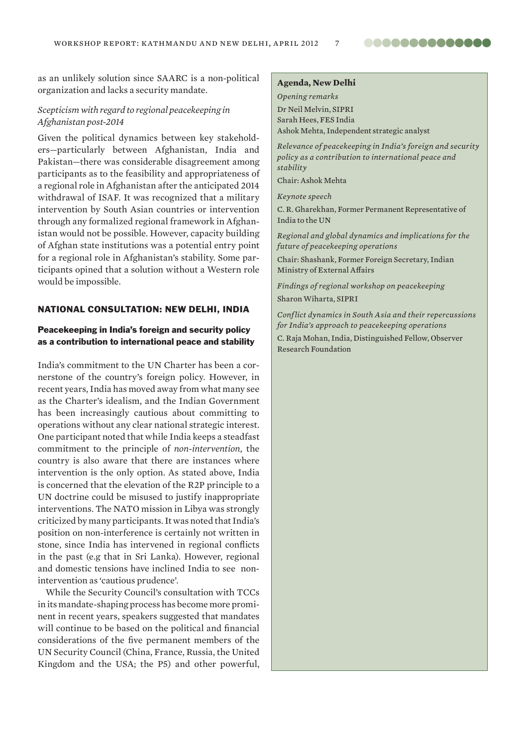..............

as an unlikely solution since SAARC is a non-political organization and lacks a security mandate.

#### *Scepticism with regard to regional peacekeeping in Afghanistan post-2014*

Given the political dynamics between key stakeholders—particularly between Afghanistan, India and Pakistan—there was considerable disagreement among participants as to the feasibility and appropriateness of a regional role in Afghanistan after the anticipated 2014 withdrawal of ISAF. It was recognized that a military intervention by South Asian countries or intervention through any formalized regional framework in Afghanistan would not be possible. However, capacity building of Afghan state institutions was a potential entry point for a regional role in Afghanistan's stability. Some participants opined that a solution without a Western role would be impossible.

#### National Consultation: New Delhi, India

#### Peacekeeping in India's foreign and security policy as a contribution to international peace and stability

India's commitment to the UN Charter has been a cornerstone of the country's foreign policy. However, in recent years, India has moved away from what many see as the Charter's idealism, and the Indian Government has been increasingly cautious about committing to operations without any clear national strategic interest. One participant noted that while India keeps a steadfast commitment to the principle of *non-intervention*, the country is also aware that there are instances where intervention is the only option. As stated above, India is concerned that the elevation of the R2P principle to a UN doctrine could be misused to justify inappropriate interventions. The NATO mission in Libya was strongly criticized by many participants. It was noted that India's position on non-interference is certainly not written in stone, since India has intervened in regional conflicts in the past (e.g that in Sri Lanka). However, regional and domestic tensions have inclined India to see nonintervention as 'cautious prudence'.

While the Security Council's consultation with TCCs in its mandate-shaping process has become more prominent in recent years, speakers suggested that mandates will continue to be based on the political and financial considerations of the five permanent members of the UN Security Council (China, France, Russia, the United Kingdom and the USA; the P5) and other powerful,

#### **Agenda, New Delhi**

*Opening remarks*

Dr Neil Melvin, SIPRI Sarah Hees, FES India Ashok Mehta, Independent strategic analyst

*Relevance of peacekeeping in India's foreign and security policy as a contribution to international peace and stability*

Chair: Ashok Mehta

*Keynote speech*

C. R. Gharekhan, Former Permanent Representative of India to the UN

*Regional and global dynamics and implications for the future of peacekeeping operations*

Chair: Shashank, Former Foreign Secretary, Indian Ministry of External Affairs

*Findings of regional workshop on peacekeeping* Sharon Wiharta, SIPRI

*Conf lict dynamics in South Asia and their repercussions for India's approach to peacekeeping operations*

C. Raja Mohan, India, Distinguished Fellow, Observer Research Foundation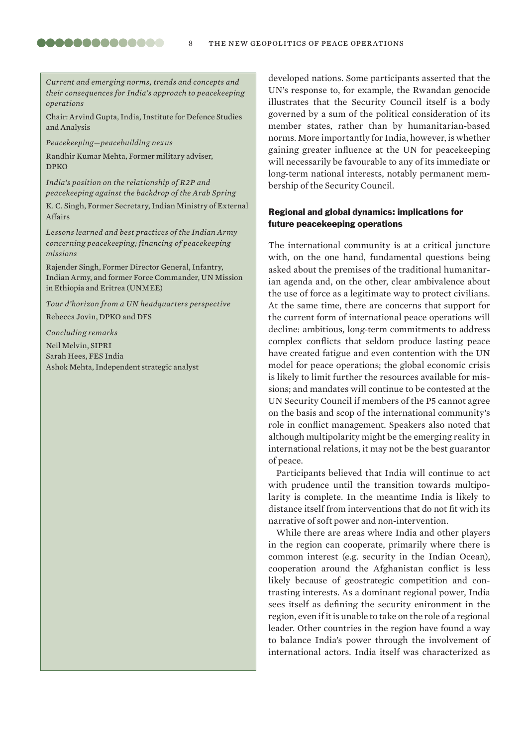*Current and emerging norms, trends and concepts and their consequences for India's approach to peacekeeping operations*

Chair: Arvind Gupta, India, Institute for Defence Studies and Analysis

*Peacekeeping—peacebuilding nexus*

Randhir Kumar Mehta, Former military adviser, DPKO

*India's position on the relationship of R2P and peacekeeping against the backdrop of the Arab Spring* K. C. Singh, Former Secretary, Indian Ministry of External Affairs

*Lessons learned and best practices of the Indian Army concerning peacekeeping; financing of peacekeeping missions*

Rajender Singh, Former Director General, Infantry, Indian Army, and former Force Commander, UN Mission in Ethiopia and Eritrea (UNMEE)

*Tour d'horizon from a UN headquarters perspective*

Rebecca Jovin, DPKO and DFS

*Concluding remarks* Neil Melvin, SIPRI Sarah Hees, FES India Ashok Mehta, Independent strategic analyst developed nations. Some participants asserted that the UN's response to, for example, the Rwandan genocide illustrates that the Security Council itself is a body governed by a sum of the political consideration of its member states, rather than by humanitarian-based norms. More importantly for India, however, is whether gaining greater influence at the UN for peacekeeping will necessarily be favourable to any of its immediate or long-term national interests, notably permanent membership of the Security Council.

#### Regional and global dynamics: implications for future peacekeeping operations

The international community is at a critical juncture with, on the one hand, fundamental questions being asked about the premises of the traditional humanitarian agenda and, on the other, clear ambivalence about the use of force as a legitimate way to protect civilians. At the same time, there are concerns that support for the current form of international peace operations will decline: ambitious, long-term commitments to address complex conflicts that seldom produce lasting peace have created fatigue and even contention with the UN model for peace operations; the global economic crisis is likely to limit further the resources available for missions; and mandates will continue to be contested at the UN Security Council if members of the P5 cannot agree on the basis and scop of the international community's role in conflict management. Speakers also noted that although multipolarity might be the emerging reality in international relations, it may not be the best guarantor of peace.

Participants believed that India will continue to act with prudence until the transition towards multipolarity is complete. In the meantime India is likely to distance itself from interventions that do not fit with its narrative of soft power and non-intervention.

While there are areas where India and other players in the region can cooperate, primarily where there is common interest (e.g. security in the Indian Ocean), cooperation around the Afghanistan conflict is less likely because of geostrategic competition and contrasting interests. As a dominant regional power, India sees itself as defining the security enironment in the region, even if it is unable to take on the role of a regional leader. Other countries in the region have found a way to balance India's power through the involvement of international actors. India itself was characterized as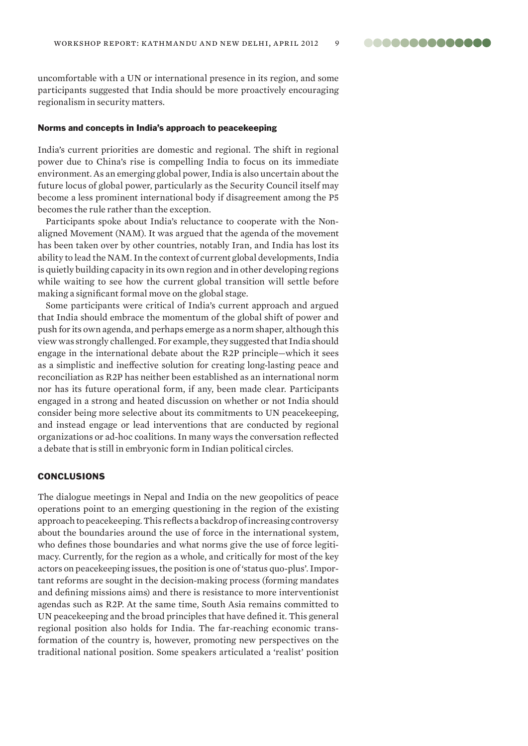..............

uncomfortable with a UN or international presence in its region, and some participants suggested that India should be more proactively encouraging regionalism in security matters.

#### Norms and concepts in India's approach to peacekeeping

India's current priorities are domestic and regional. The shift in regional power due to China's rise is compelling India to focus on its immediate environment. As an emerging global power, India is also uncertain about the future locus of global power, particularly as the Security Council itself may become a less prominent international body if disagreement among the P5 becomes the rule rather than the exception.

Participants spoke about India's reluctance to cooperate with the Nonaligned Movement (NAM). It was argued that the agenda of the movement has been taken over by other countries, notably Iran, and India has lost its ability to lead the NAM. In the context of current global developments, India is quietly building capacity in its own region and in other developing regions while waiting to see how the current global transition will settle before making a significant formal move on the global stage.

Some participants were critical of India's current approach and argued that India should embrace the momentum of the global shift of power and push for its own agenda, and perhaps emerge as a norm shaper, although this view was strongly challenged. For example, they suggested that India should engage in the international debate about the R2P principle—which it sees as a simplistic and ineffective solution for creating long-lasting peace and reconciliation as R2P has neither been established as an international norm nor has its future operational form, if any, been made clear. Participants engaged in a strong and heated discussion on whether or not India should consider being more selective about its commitments to UN peacekeeping, and instead engage or lead interventions that are conducted by regional organizations or ad-hoc coalitions. In many ways the conversation reflected a debate that is still in embryonic form in Indian political circles.

#### **CONCLUSIONS**

The dialogue meetings in Nepal and India on the new geopolitics of peace operations point to an emerging questioning in the region of the existing approach to peacekeeping. This reflects a backdrop of increasing controversy about the boundaries around the use of force in the international system, who defines those boundaries and what norms give the use of force legitimacy. Currently, for the region as a whole, and critically for most of the key actors on peacekeeping issues, the position is one of 'status quo-plus'. Important reforms are sought in the decision-making process (forming mandates and defining missions aims) and there is resistance to more interventionist agendas such as R2P. At the same time, South Asia remains committed to UN peacekeeping and the broad principles that have defined it. This general regional position also holds for India. The far-reaching economic transformation of the country is, however, promoting new perspectives on the traditional national position. Some speakers articulated a 'realist' position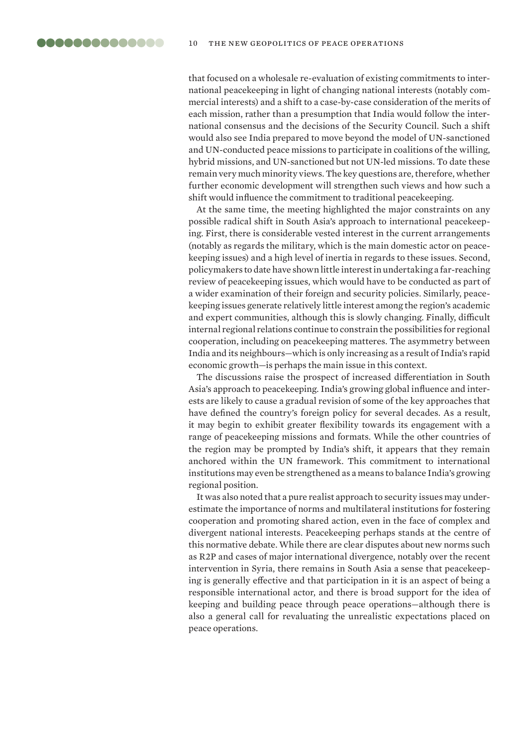that focused on a wholesale re-evaluation of existing commitments to international peacekeeping in light of changing national interests (notably commercial interests) and a shift to a case-by-case consideration of the merits of each mission, rather than a presumption that India would follow the international consensus and the decisions of the Security Council. Such a shift would also see India prepared to move beyond the model of UN-sanctioned and UN-conducted peace missions to participate in coalitions of the willing, hybrid missions, and UN-sanctioned but not UN-led missions. To date these remain very much minority views. The key questions are, therefore, whether further economic development will strengthen such views and how such a shift would influence the commitment to traditional peacekeeping.

At the same time, the meeting highlighted the major constraints on any possible radical shift in South Asia's approach to international peacekeeping. First, there is considerable vested interest in the current arrangements (notably as regards the military, which is the main domestic actor on peacekeeping issues) and a high level of inertia in regards to these issues. Second, policymakers to date have shown little interest in undertaking a far-reaching review of peacekeeping issues, which would have to be conducted as part of a wider examination of their foreign and security policies. Similarly, peacekeeping issues generate relatively little interest among the region's academic and expert communities, although this is slowly changing. Finally, difficult internal regional relations continue to constrain the possibilities for regional cooperation, including on peacekeeping matteres. The asymmetry between India and its neighbours—which is only increasing as a result of India's rapid economic growth—is perhaps the main issue in this context.

The discussions raise the prospect of increased differentiation in South Asia's approach to peacekeeping. India's growing global influence and interests are likely to cause a gradual revision of some of the key approaches that have defined the country's foreign policy for several decades. As a result, it may begin to exhibit greater flexibility towards its engagement with a range of peacekeeping missions and formats. While the other countries of the region may be prompted by India's shift, it appears that they remain anchored within the UN framework. This commitment to international institutions may even be strengthened as a means to balance India's growing regional position.

It was also noted that a pure realist approach to security issues may underestimate the importance of norms and multilateral institutions for fostering cooperation and promoting shared action, even in the face of complex and divergent national interests. Peacekeeping perhaps stands at the centre of this normative debate. While there are clear disputes about new norms such as R2P and cases of major international divergence, notably over the recent intervention in Syria, there remains in South Asia a sense that peacekeeping is generally effective and that participation in it is an aspect of being a responsible international actor, and there is broad support for the idea of keeping and building peace through peace operations—although there is also a general call for revaluating the unrealistic expectations placed on peace operations.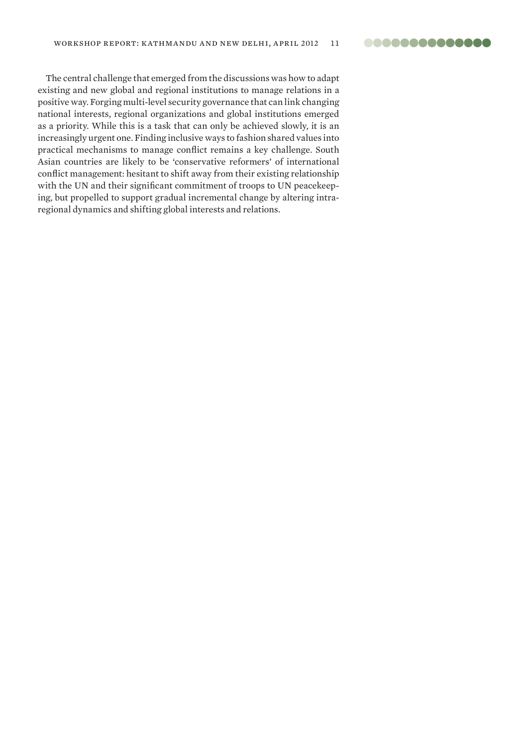The central challenge that emerged from the discussions was how to adapt existing and new global and regional institutions to manage relations in a positive way. Forging multi-level security governance that can link changing national interests, regional organizations and global institutions emerged as a priority. While this is a task that can only be achieved slowly, it is an increasingly urgent one. Finding inclusive ways to fashion shared values into practical mechanisms to manage conflict remains a key challenge. South Asian countries are likely to be 'conservative reformers' of international conflict management: hesitant to shift away from their existing relationship with the UN and their significant commitment of troops to UN peacekeeping, but propelled to support gradual incremental change by altering intraregional dynamics and shifting global interests and relations.